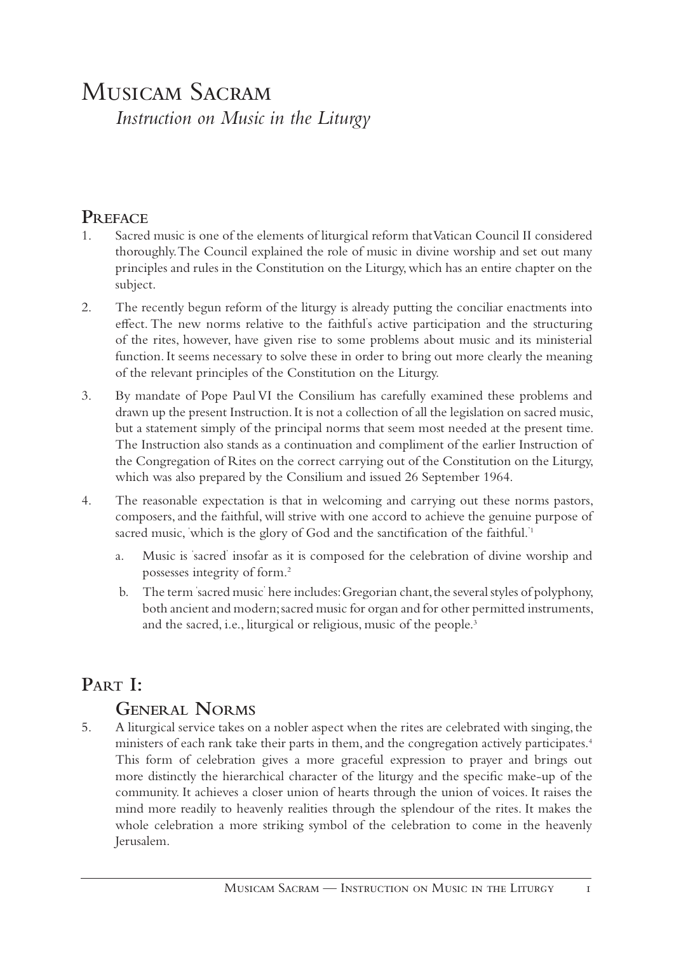# Musicam Sacram

*Instruction on Music in the Liturgy*

#### **Preface**

- 1. Sacred music is one of the elements of liturgical reform that Vatican Council II considered thoroughly. The Council explained the role of music in divine worship and set out many principles and rules in the Constitution on the Liturgy, which has an entire chapter on the subject.
- 2. The recently begun reform of the liturgy is already putting the conciliar enactments into effect. The new norms relative to the faithful' s active participation and the structuring of the rites, however, have given rise to some problems about music and its ministerial function. It seems necessary to solve these in order to bring out more clearly the meaning of the relevant principles of the Constitution on the Liturgy.
- 3. By mandate of Pope Paul VI the Consilium has carefully examined these problems and drawn up the present Instruction. It is not a collection of all the legislation on sacred music, but a statement simply of the principal norms that seem most needed at the present time. The Instruction also stands as a continuation and compliment of the earlier Instruction of the Congregation of Rites on the correct carrying out of the Constitution on the Liturgy, which was also prepared by the Consilium and issued 26 September 1964.
- 4. The reasonable expectation is that in welcoming and carrying out these norms pastors, composers, and the faithful, will strive with one accord to achieve the genuine purpose of sacred music, which is the glory of God and the sanctification of the faithful.<sup>1</sup>
	- a. Music is ' sacred' insofar as it is composed for the celebration of divine worship and possesses integrity of form.2
	- b. The term 'sacred music' here includes: Gregorian chant, the several styles of polyphony, both ancient and modern; sacred music for organ and for other permitted instruments, and the sacred, i.e., liturgical or religious, music of the people.<sup>3</sup>

# **PART I:**

# **General Norms**

5. A liturgical service takes on a nobler aspect when the rites are celebrated with singing, the ministers of each rank take their parts in them, and the congregation actively participates.<sup>4</sup> This form of celebration gives a more graceful expression to prayer and brings out more distinctly the hierarchical character of the liturgy and the specific make-up of the community. It achieves a closer union of hearts through the union of voices. It raises the mind more readily to heavenly realities through the splendour of the rites. It makes the whole celebration a more striking symbol of the celebration to come in the heavenly Jerusalem.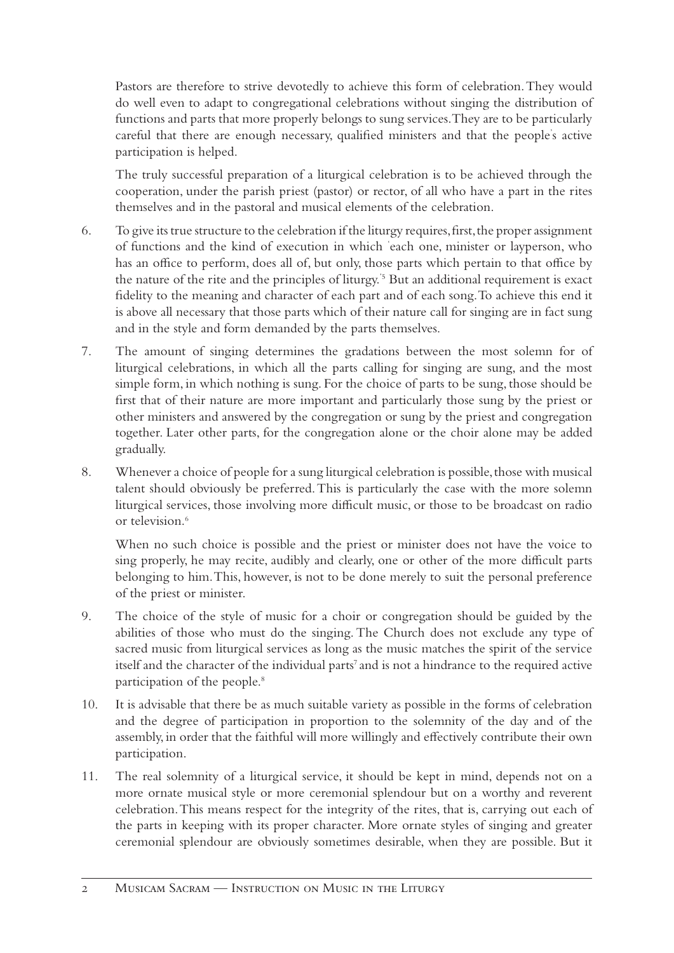Pastors are therefore to strive devotedly to achieve this form of celebration. They would do well even to adapt to congregational celebrations without singing the distribution of functions and parts that more properly belongs to sung services. They are to be particularly careful that there are enough necessary, qualified ministers and that the people' s active participation is helped.

The truly successful preparation of a liturgical celebration is to be achieved through the cooperation, under the parish priest (pastor) or rector, of all who have a part in the rites themselves and in the pastoral and musical elements of the celebration.

- 6. To give its true structure to the celebration if the liturgy requires, first, the proper assignment of functions and the kind of execution in which ' each one, minister or layperson, who has an office to perform, does all of, but only, those parts which pertain to that office by the nature of the rite and the principles of liturgy.<sup>'5</sup> But an additional requirement is exact fidelity to the meaning and character of each part and of each song. To achieve this end it is above all necessary that those parts which of their nature call for singing are in fact sung and in the style and form demanded by the parts themselves.
- 7. The amount of singing determines the gradations between the most solemn for of liturgical celebrations, in which all the parts calling for singing are sung, and the most simple form, in which nothing is sung. For the choice of parts to be sung, those should be first that of their nature are more important and particularly those sung by the priest or other ministers and answered by the congregation or sung by the priest and congregation together. Later other parts, for the congregation alone or the choir alone may be added gradually.
- 8. Whenever a choice of people for a sung liturgical celebration is possible, those with musical talent should obviously be preferred. This is particularly the case with the more solemn liturgical services, those involving more difficult music, or those to be broadcast on radio or television.<sup>6</sup>

When no such choice is possible and the priest or minister does not have the voice to sing properly, he may recite, audibly and clearly, one or other of the more difficult parts belonging to him. This, however, is not to be done merely to suit the personal preference of the priest or minister.

- 9. The choice of the style of music for a choir or congregation should be guided by the abilities of those who must do the singing. The Church does not exclude any type of sacred music from liturgical services as long as the music matches the spirit of the service itself and the character of the individual parts<sup>7</sup> and is not a hindrance to the required active participation of the people.8
- 10. It is advisable that there be as much suitable variety as possible in the forms of celebration and the degree of participation in proportion to the solemnity of the day and of the assembly, in order that the faithful will more willingly and effectively contribute their own participation.
- 11. The real solemnity of a liturgical service, it should be kept in mind, depends not on a more ornate musical style or more ceremonial splendour but on a worthy and reverent celebration. This means respect for the integrity of the rites, that is, carrying out each of the parts in keeping with its proper character. More ornate styles of singing and greater ceremonial splendour are obviously sometimes desirable, when they are possible. But it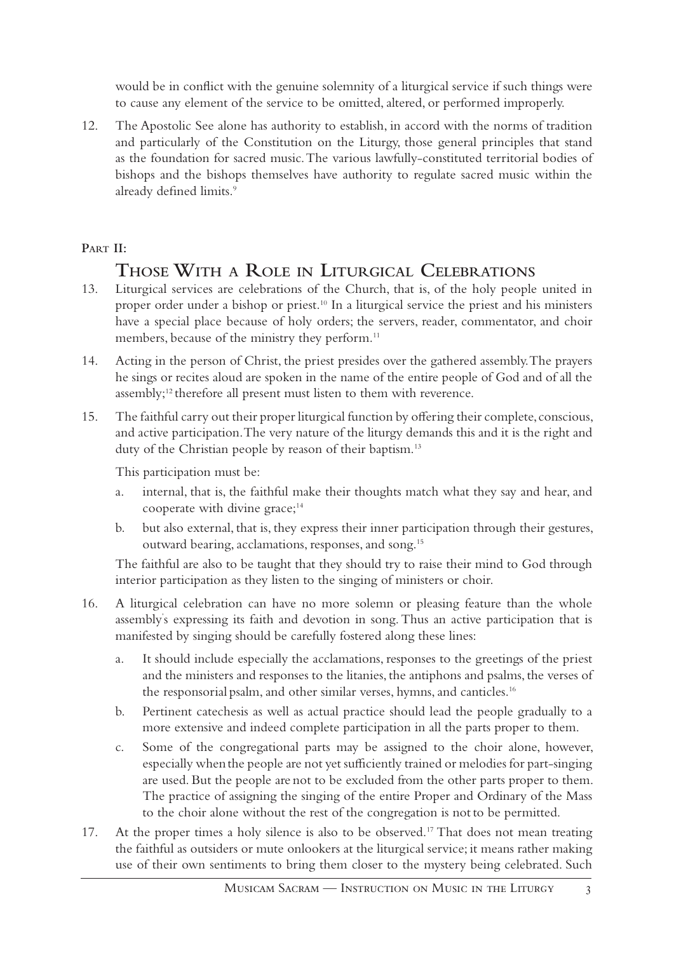would be in conflict with the genuine solemnity of a liturgical service if such things were to cause any element of the service to be omitted, altered, or performed improperly.

12. The Apostolic See alone has authority to establish, in accord with the norms of tradition and particularly of the Constitution on the Liturgy, those general principles that stand as the foundation for sacred music. The various lawfully-constituted territorial bodies of bishops and the bishops themselves have authority to regulate sacred music within the already defined limits.<sup>9</sup>

#### PART II<sup>.</sup>

#### **Those With <sup>a</sup> Role in Liturgical Celebrations**

- 13. Liturgical services are celebrations of the Church, that is, of the holy people united in proper order under a bishop or priest.10 In a liturgical service the priest and his ministers have a special place because of holy orders; the servers, reader, commentator, and choir members, because of the ministry they perform.<sup>11</sup>
- 14. Acting in the person of Christ, the priest presides over the gathered assembly. The prayers he sings or recites aloud are spoken in the name of the entire people of God and of all the assembly;<sup>12</sup> therefore all present must listen to them with reverence.
- 15. The faithful carry out their proper liturgical function by offering their complete, conscious, and active participation. The very nature of the liturgy demands this and it is the right and duty of the Christian people by reason of their baptism.<sup>13</sup>

This participation must be:

- a. internal, that is, the faithful make their thoughts match what they say and hear, and cooperate with divine grace;<sup>14</sup>
- b. but also external, that is, they express their inner participation through their gestures, outward bearing, acclamations, responses, and song.15

The faithful are also to be taught that they should try to raise their mind to God through interior participation as they listen to the singing of ministers or choir.

- 16. A liturgical celebration can have no more solemn or pleasing feature than the whole assembly' s expressing its faith and devotion in song. Thus an active participation that is manifested by singing should be carefully fostered along these lines:
	- a. It should include especially the acclamations, responses to the greetings of the priest and the ministers and responses to the litanies, the antiphons and psalms, the verses of the responsorial psalm, and other similar verses, hymns, and canticles.<sup>16</sup>
	- b. Pertinent catechesis as well as actual practice should lead the people gradually to a more extensive and indeed complete participation in all the parts proper to them.
	- c. Some of the congregational parts may be assigned to the choir alone, however, especially when the people are not yet sufficiently trained or melodies for part-singing are used. But the people are not to be excluded from the other parts proper to them. The practice of assigning the singing of the entire Proper and Ordinary of the Mass to the choir alone without the rest of the congregation is not to be permitted.
- 17. At the proper times a holy silence is also to be observed.<sup>17</sup> That does not mean treating the faithful as outsiders or mute onlookers at the liturgical service; it means rather making use of their own sentiments to bring them closer to the mystery being celebrated. Such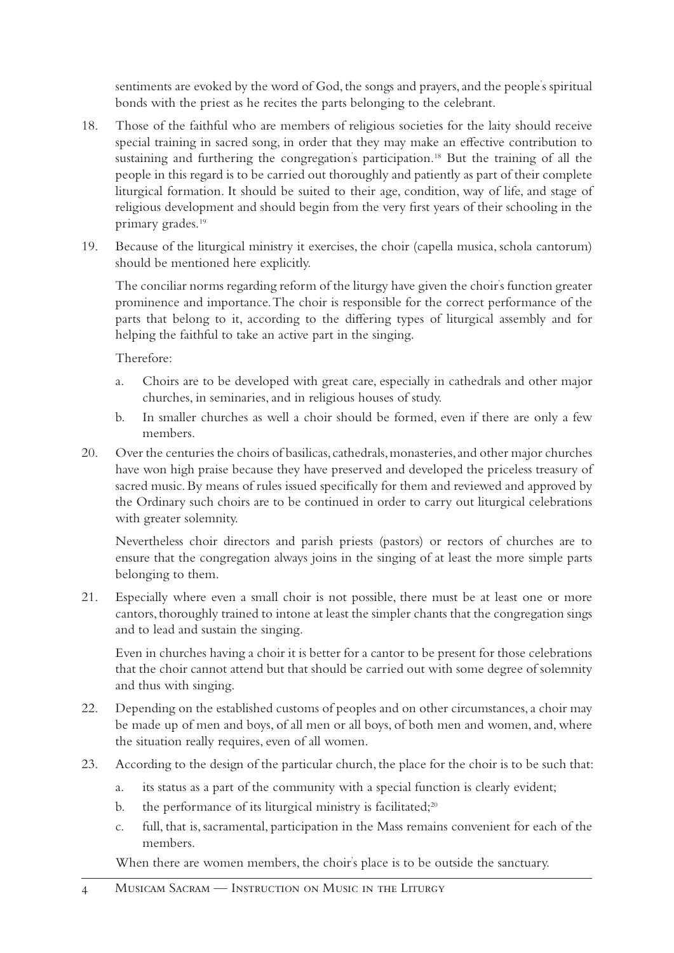sentiments are evoked by the word of God, the songs and prayers, and the people' s spiritual bonds with the priest as he recites the parts belonging to the celebrant.

- 18. Those of the faithful who are members of religious societies for the laity should receive special training in sacred song, in order that they may make an effective contribution to sustaining and furthering the congregation's participation.<sup>18</sup> But the training of all the people in this regard is to be carried out thoroughly and patiently as part of their complete liturgical formation. It should be suited to their age, condition, way of life, and stage of religious development and should begin from the very first years of their schooling in the primary grades.<sup>19</sup>
- 19. Because of the liturgical ministry it exercises, the choir (capella musica, schola cantorum) should be mentioned here explicitly.

The conciliar norms regarding reform of the liturgy have given the choir' s function greater prominence and importance. The choir is responsible for the correct performance of the parts that belong to it, according to the differing types of liturgical assembly and for helping the faithful to take an active part in the singing.

Therefore:

- a. Choirs are to be developed with great care, especially in cathedrals and other major churches, in seminaries, and in religious houses of study.
- b. In smaller churches as well a choir should be formed, even if there are only a few members.
- 20. Over the centuries the choirs of basilicas, cathedrals, monasteries, and other major churches have won high praise because they have preserved and developed the priceless treasury of sacred music. By means of rules issued specifically for them and reviewed and approved by the Ordinary such choirs are to be continued in order to carry out liturgical celebrations with greater solemnity.

Nevertheless choir directors and parish priests (pastors) or rectors of churches are to ensure that the congregation always joins in the singing of at least the more simple parts belonging to them.

21. Especially where even a small choir is not possible, there must be at least one or more cantors, thoroughly trained to intone at least the simpler chants that the congregation sings and to lead and sustain the singing.

Even in churches having a choir it is better for a cantor to be present for those celebrations that the choir cannot attend but that should be carried out with some degree of solemnity and thus with singing.

- 22. Depending on the established customs of peoples and on other circumstances, a choir may be made up of men and boys, of all men or all boys, of both men and women, and, where the situation really requires, even of all women.
- 23. According to the design of the particular church, the place for the choir is to be such that:
	- a. its status as a part of the community with a special function is clearly evident;
	- b. the performance of its liturgical ministry is facilitated;<sup>20</sup>
	- c. full, that is, sacramental, participation in the Mass remains convenient for each of the members.

When there are women members, the choir' s place is to be outside the sanctuary.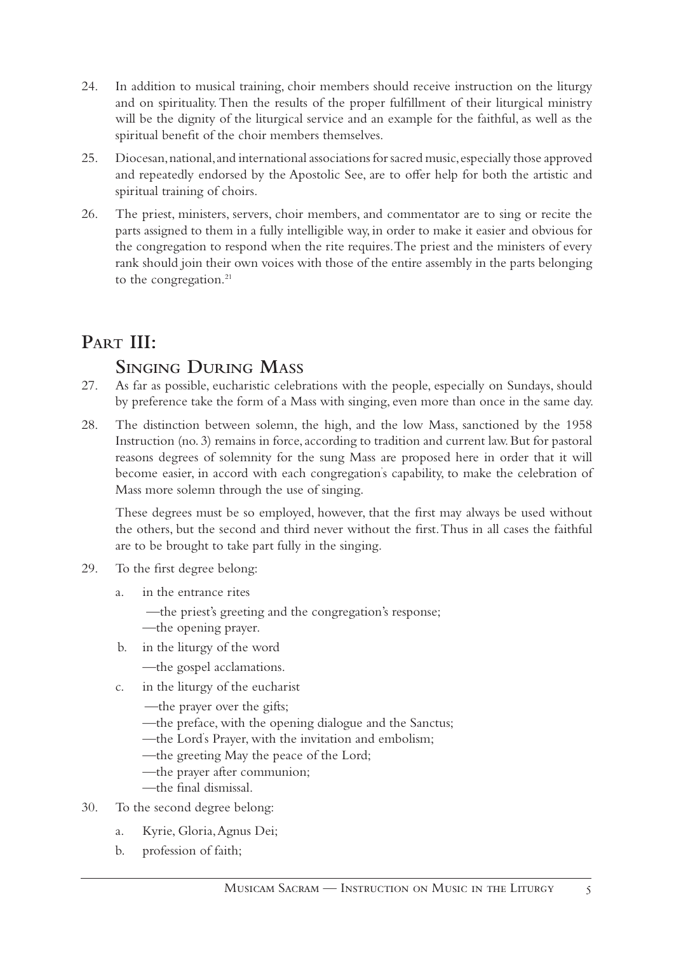- 24. In addition to musical training, choir members should receive instruction on the liturgy and on spirituality. Then the results of the proper fulfillment of their liturgical ministry will be the dignity of the liturgical service and an example for the faithful, as well as the spiritual benefit of the choir members themselves.
- 25. Diocesan, national, and international associations for sacred music, especially those approved and repeatedly endorsed by the Apostolic See, are to offer help for both the artistic and spiritual training of choirs.
- 26. The priest, ministers, servers, choir members, and commentator are to sing or recite the parts assigned to them in a fully intelligible way, in order to make it easier and obvious for the congregation to respond when the rite requires. The priest and the ministers of every rank should join their own voices with those of the entire assembly in the parts belonging to the congregation.<sup>21</sup>

# PART **III**<sup>.</sup>

### **Singing During Mass**

- 27. As far as possible, eucharistic celebrations with the people, especially on Sundays, should by preference take the form of a Mass with singing, even more than once in the same day.
- 28. The distinction between solemn, the high, and the low Mass, sanctioned by the 1958 Instruction (no. 3) remains in force, according to tradition and current law. But for pastoral reasons degrees of solemnity for the sung Mass are proposed here in order that it will become easier, in accord with each congregation' s capability, to make the celebration of Mass more solemn through the use of singing.

These degrees must be so employed, however, that the first may always be used without the others, but the second and third never without the first. Thus in all cases the faithful are to be brought to take part fully in the singing.

- 29. To the first degree belong:
	- a. in the entrance rites
		- —the priest's greeting and the congregation's response;
		- —the opening prayer.
	- b. in the liturgy of the word
		- —the gospel acclamations.
	- c. in the liturgy of the eucharist
		- —the prayer over the gifts;
		- —the preface, with the opening dialogue and the Sanctus;
		- —the Lord' s Prayer, with the invitation and embolism;
		- —the greeting May the peace of the Lord;
		- —the prayer after communion;
		- —the final dismissal.
- 30. To the second degree belong:
	- a. Kyrie, Gloria, Agnus Dei;
	- b. profession of faith;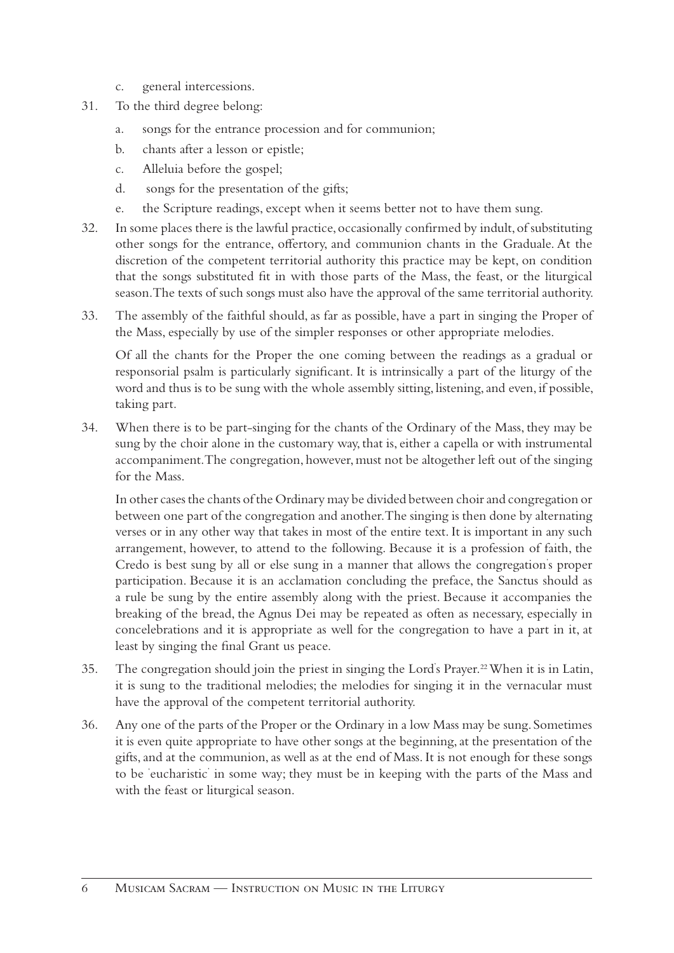- c. general intercessions.
- 31. To the third degree belong:
	- a. songs for the entrance procession and for communion;
	- b. chants after a lesson or epistle;
	- c. Alleluia before the gospel;
	- d. songs for the presentation of the gifts;
	- e. the Scripture readings, except when it seems better not to have them sung.
- 32. In some places there is the lawful practice, occasionally confirmed by indult, of substituting other songs for the entrance, offertory, and communion chants in the Graduale. At the discretion of the competent territorial authority this practice may be kept, on condition that the songs substituted fit in with those parts of the Mass, the feast, or the liturgical season. The texts of such songs must also have the approval of the same territorial authority.
- 33. The assembly of the faithful should, as far as possible, have a part in singing the Proper of the Mass, especially by use of the simpler responses or other appropriate melodies.

Of all the chants for the Proper the one coming between the readings as a gradual or responsorial psalm is particularly significant. It is intrinsically a part of the liturgy of the word and thus is to be sung with the whole assembly sitting, listening, and even, if possible, taking part.

34. When there is to be part-singing for the chants of the Ordinary of the Mass, they may be sung by the choir alone in the customary way, that is, either a capella or with instrumental accompaniment. The congregation, however, must not be altogether left out of the singing for the Mass.

In other cases the chants of the Ordinary may be divided between choir and congregation or between one part of the congregation and another. The singing is then done by alternating verses or in any other way that takes in most of the entire text. It is important in any such arrangement, however, to attend to the following. Because it is a profession of faith, the Credo is best sung by all or else sung in a manner that allows the congregation' s proper participation. Because it is an acclamation concluding the preface, the Sanctus should as a rule be sung by the entire assembly along with the priest. Because it accompanies the breaking of the bread, the Agnus Dei may be repeated as often as necessary, especially in concelebrations and it is appropriate as well for the congregation to have a part in it, at least by singing the final Grant us peace.

- 35. The congregation should join the priest in singing the Lord's Prayer.<sup>22</sup> When it is in Latin, it is sung to the traditional melodies; the melodies for singing it in the vernacular must have the approval of the competent territorial authority.
- 36. Any one of the parts of the Proper or the Ordinary in a low Mass may be sung. Sometimes it is even quite appropriate to have other songs at the beginning, at the presentation of the gifts, and at the communion, as well as at the end of Mass. It is not enough for these songs to be ' eucharistic' in some way; they must be in keeping with the parts of the Mass and with the feast or liturgical season.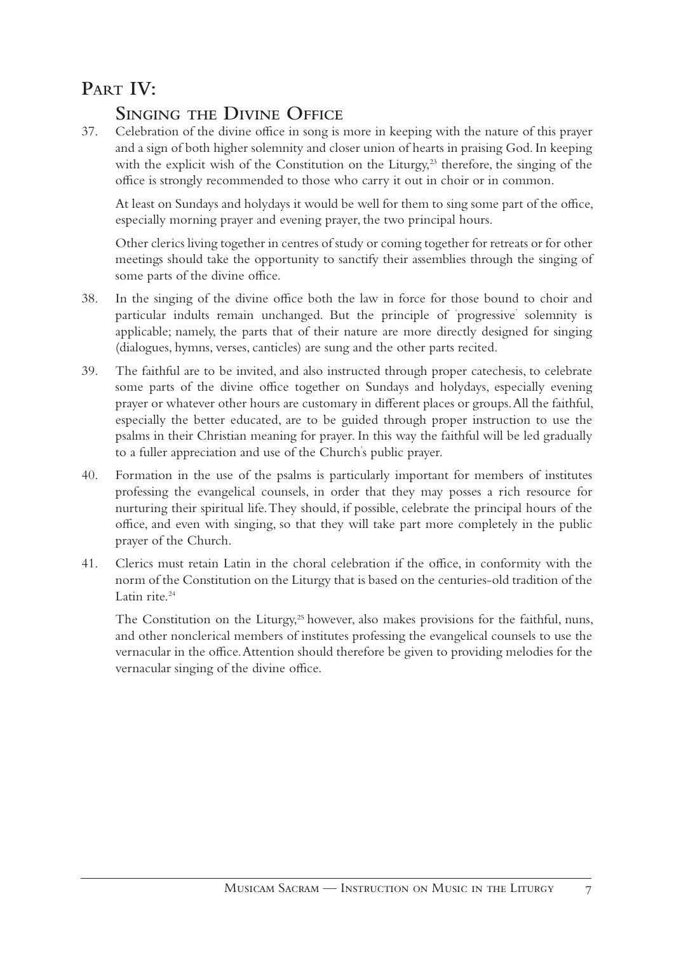# PART IV:

#### **Singing the Divine Office**

37. Celebration of the divine office in song is more in keeping with the nature of this prayer and a sign of both higher solemnity and closer union of hearts in praising God. In keeping with the explicit wish of the Constitution on the Liturgy,<sup>23</sup> therefore, the singing of the office is strongly recommended to those who carry it out in choir or in common.

At least on Sundays and holydays it would be well for them to sing some part of the office, especially morning prayer and evening prayer, the two principal hours.

Other clerics living together in centres of study or coming together for retreats or for other meetings should take the opportunity to sanctify their assemblies through the singing of some parts of the divine office.

- 38. In the singing of the divine office both the law in force for those bound to choir and particular indults remain unchanged. But the principle of ' progressive' solemnity is applicable; namely, the parts that of their nature are more directly designed for singing (dialogues, hymns, verses, canticles) are sung and the other parts recited.
- 39. The faithful are to be invited, and also instructed through proper catechesis, to celebrate some parts of the divine office together on Sundays and holydays, especially evening prayer or whatever other hours are customary in different places or groups. All the faithful, especially the better educated, are to be guided through proper instruction to use the psalms in their Christian meaning for prayer. In this way the faithful will be led gradually to a fuller appreciation and use of the Church' s public prayer.
- 40. Formation in the use of the psalms is particularly important for members of institutes professing the evangelical counsels, in order that they may posses a rich resource for nurturing their spiritual life. They should, if possible, celebrate the principal hours of the office, and even with singing, so that they will take part more completely in the public prayer of the Church.
- 41. Clerics must retain Latin in the choral celebration if the office, in conformity with the norm of the Constitution on the Liturgy that is based on the centuries-old tradition of the Latin rite.<sup>24</sup>

The Constitution on the Liturgy, $25$  however, also makes provisions for the faithful, nuns, and other nonclerical members of institutes professing the evangelical counsels to use the vernacular in the office. Attention should therefore be given to providing melodies for the vernacular singing of the divine office.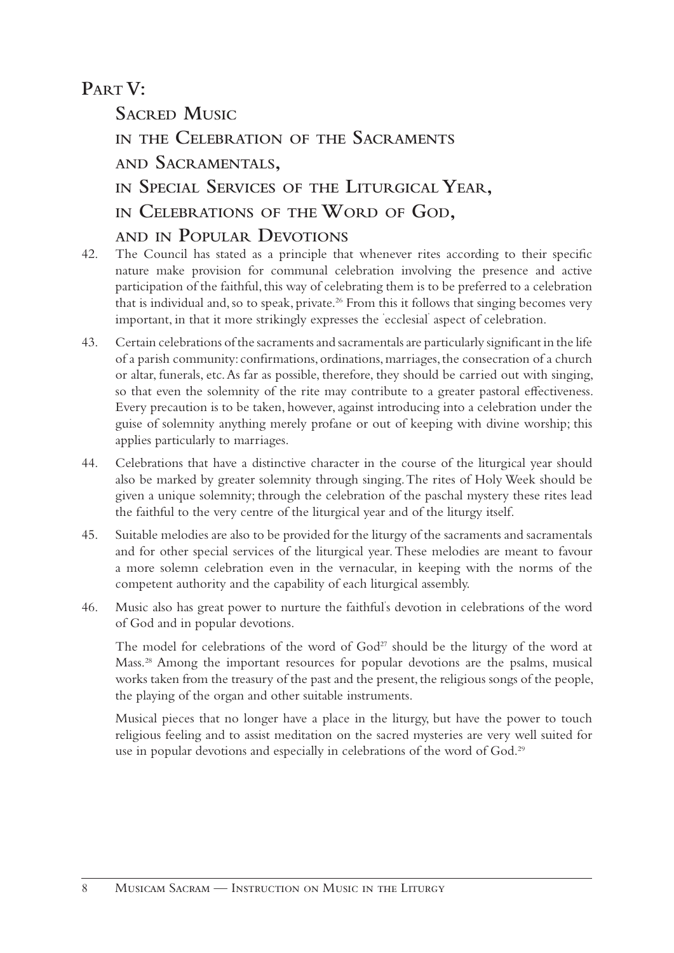# PART V:

**Sacred Music in the Celebration of the Sacraments and Sacramentals, in Special Services of the Liturgical Year, in Celebrations of the Word of God, and in Popular Devotions**

- 42. The Council has stated as a principle that whenever rites according to their specific nature make provision for communal celebration involving the presence and active participation of the faithful, this way of celebrating them is to be preferred to a celebration that is individual and, so to speak, private.<sup>26</sup> From this it follows that singing becomes very important, in that it more strikingly expresses the ' ecclesial' aspect of celebration.
- 43. Certain celebrations of the sacraments and sacramentals are particularly significant in the life of a parish community: confirmations, ordinations, marriages, the consecration of a church or altar, funerals, etc. As far as possible, therefore, they should be carried out with singing, so that even the solemnity of the rite may contribute to a greater pastoral effectiveness. Every precaution is to be taken, however, against introducing into a celebration under the guise of solemnity anything merely profane or out of keeping with divine worship; this applies particularly to marriages.
- 44. Celebrations that have a distinctive character in the course of the liturgical year should also be marked by greater solemnity through singing. The rites of Holy Week should be given a unique solemnity; through the celebration of the paschal mystery these rites lead the faithful to the very centre of the liturgical year and of the liturgy itself.
- 45. Suitable melodies are also to be provided for the liturgy of the sacraments and sacramentals and for other special services of the liturgical year. These melodies are meant to favour a more solemn celebration even in the vernacular, in keeping with the norms of the competent authority and the capability of each liturgical assembly.
- 46. Music also has great power to nurture the faithful' s devotion in celebrations of the word of God and in popular devotions.

The model for celebrations of the word of  $God<sup>27</sup>$  should be the liturgy of the word at Mass.28 Among the important resources for popular devotions are the psalms, musical works taken from the treasury of the past and the present, the religious songs of the people, the playing of the organ and other suitable instruments.

Musical pieces that no longer have a place in the liturgy, but have the power to touch religious feeling and to assist meditation on the sacred mysteries are very well suited for use in popular devotions and especially in celebrations of the word of God.<sup>29</sup>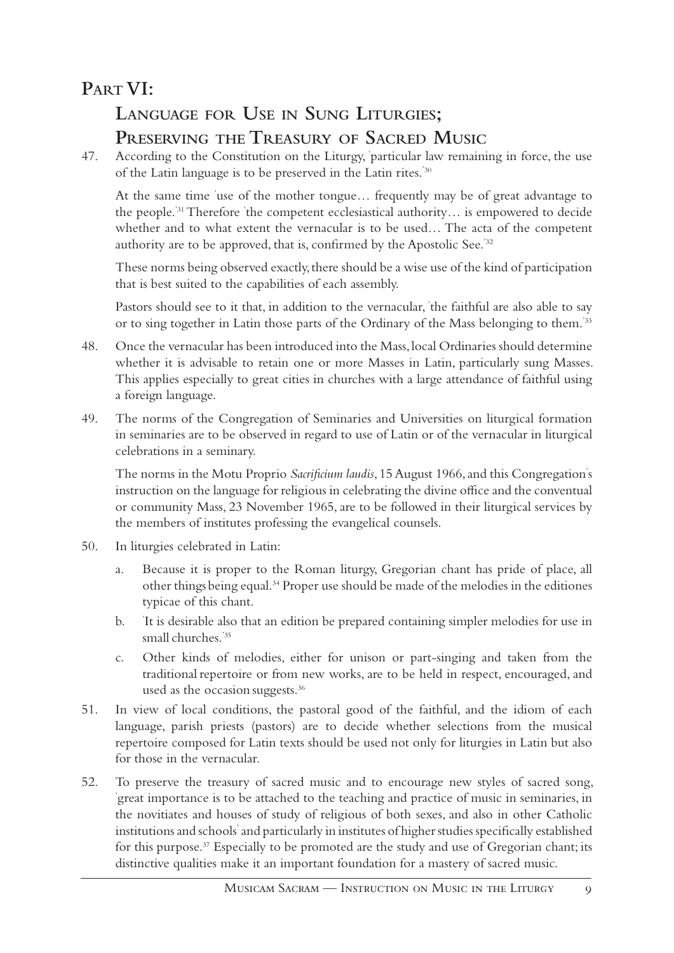# PART VI:

# **Language for Use in Sung Liturgies;**

#### **Preserving the Treasury of Sacred Music**

47. According to the Constitution on the Liturgy, ' particular law remaining in force, the use of the Latin language is to be preserved in the Latin rites.'30

At the same time 'use of the mother tongue... frequently may be of great advantage to the people.<sup>'31</sup> Therefore 'the competent ecclesiastical authority... is empowered to decide whether and to what extent the vernacular is to be used… The acta of the competent authority are to be approved, that is, confirmed by the Apostolic See.'32

These norms being observed exactly, there should be a wise use of the kind of participation that is best suited to the capabilities of each assembly.

Pastors should see to it that, in addition to the vernacular, ' the faithful are also able to say or to sing together in Latin those parts of the Ordinary of the Mass belonging to them.'33

- 48. Once the vernacular has been introduced into the Mass, local Ordinaries should determine whether it is advisable to retain one or more Masses in Latin, particularly sung Masses. This applies especially to great cities in churches with a large attendance of faithful using a foreign language.
- 49. The norms of the Congregation of Seminaries and Universities on liturgical formation in seminaries are to be observed in regard to use of Latin or of the vernacular in liturgical celebrations in a seminary.

The norms in the Motu Proprio *Sacrificium laudis*, 15 August 1966, and this Congregation' s instruction on the language for religious in celebrating the divine office and the conventual or community Mass, 23 November 1965, are to be followed in their liturgical services by the members of institutes professing the evangelical counsels.

- 50. In liturgies celebrated in Latin:
	- a. Because it is proper to the Roman liturgy, Gregorian chant has pride of place, all other thingsbeing equal.34 Proper use should be made of the melodies in the editiones typicae of this chant.
	- $\mathbf{b}$ . It is desirable also that an edition be prepared containing simpler melodies for use in small churches.'35
	- c. Other kinds of melodies, either for unison or part-singing and taken from the traditional repertoire or from new works, are to be held in respect, encouraged, and used as the occasion suggests.36
- 51. In view of local conditions, the pastoral good of the faithful, and the idiom of each language, parish priests (pastors) are to decide whether selections from the musical repertoire composed for Latin texts should be used not only for liturgies in Latin but also for those in the vernacular.
- 52. To preserve the treasury of sacred music and to encourage new styles of sacred song, ' great importance is to be attached to the teaching and practice of music in seminaries, in the novitiates and houses of study of religious of both sexes, and also in other Catholic institutions and schools' and particularly in institutes of higher studies specifically established for this purpose.37 Especially to be promoted are the study and use of Gregorian chant; its distinctive qualities make it an important foundation for a mastery of sacred music.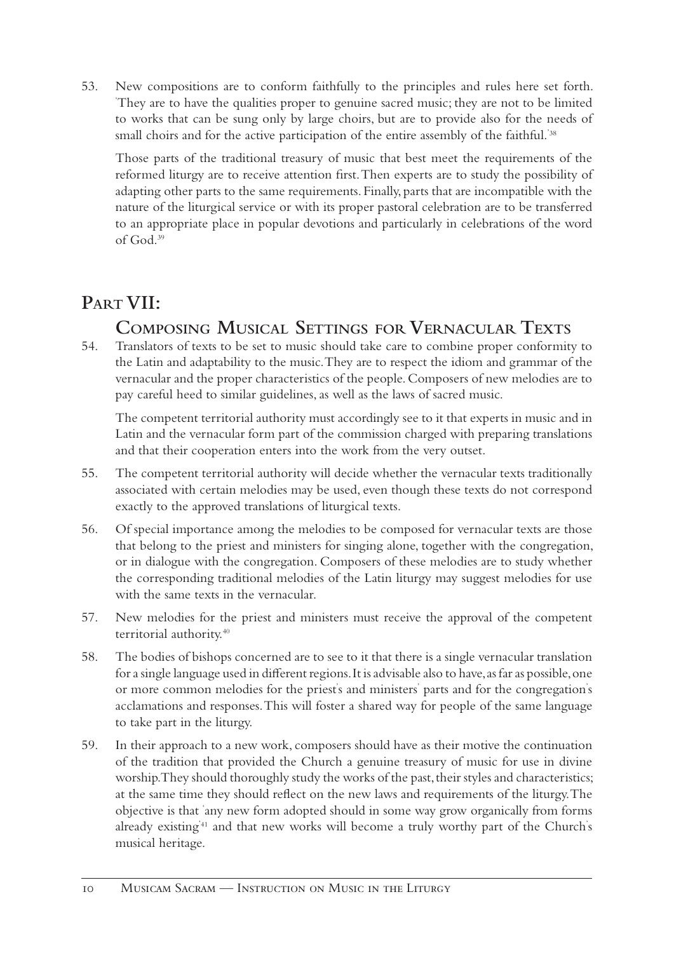53. New compositions are to conform faithfully to the principles and rules here set forth. ' They are to have the qualities proper to genuine sacred music; they are not to be limited to works that can be sung only by large choirs, but are to provide also for the needs of small choirs and for the active participation of the entire assembly of the faithful.<sup>'38</sup>

Those parts of the traditional treasury of music that best meet the requirements of the reformed liturgy are to receive attention first. Then experts are to study the possibility of adapting other parts to the same requirements. Finally, parts that are incompatible with the nature of the liturgical service or with its proper pastoral celebration are to be transferred to an appropriate place in popular devotions and particularly in celebrations of the word of God.39

# PART VII:

#### **Composing Musical Settings for Vernacular Texts**

54. Translators of texts to be set to music should take care to combine proper conformity to the Latin and adaptability to the music. They are to respect the idiom and grammar of the vernacular and the proper characteristics of the people. Composers of new melodies are to pay careful heed to similar guidelines, as well as the laws of sacred music.

The competent territorial authority must accordingly see to it that experts in music and in Latin and the vernacular form part of the commission charged with preparing translations and that their cooperation enters into the work from the very outset.

- 55. The competent territorial authority will decide whether the vernacular texts traditionally associated with certain melodies may be used, even though these texts do not correspond exactly to the approved translations of liturgical texts.
- 56. Of special importance among the melodies to be composed for vernacular texts are those that belong to the priest and ministers for singing alone, together with the congregation, or in dialogue with the congregation. Composers of these melodies are to study whether the corresponding traditional melodies of the Latin liturgy may suggest melodies for use with the same texts in the vernacular.
- 57. New melodies for the priest and ministers must receive the approval of the competent territorial authority.40
- 58. The bodies of bishops concerned are to see to it that there is a single vernacular translation for a single language used in different regions. It is advisable also to have, as far as possible, one or more common melodies for the priest's and ministers' parts and for the congregation's acclamations and responses. This will foster a shared way for people of the same language to take part in the liturgy.
- 59. In their approach to a new work, composers should have as their motive the continuation of the tradition that provided the Church a genuine treasury of music for use in divine worship. They should thoroughly study the works of the past, their styles and characteristics; at the same time they should reflect on the new laws and requirements of the liturgy. The objective is that ' any new form adopted should in some way grow organically from forms already existing<sup>'41</sup> and that new works will become a truly worthy part of the Church's musical heritage.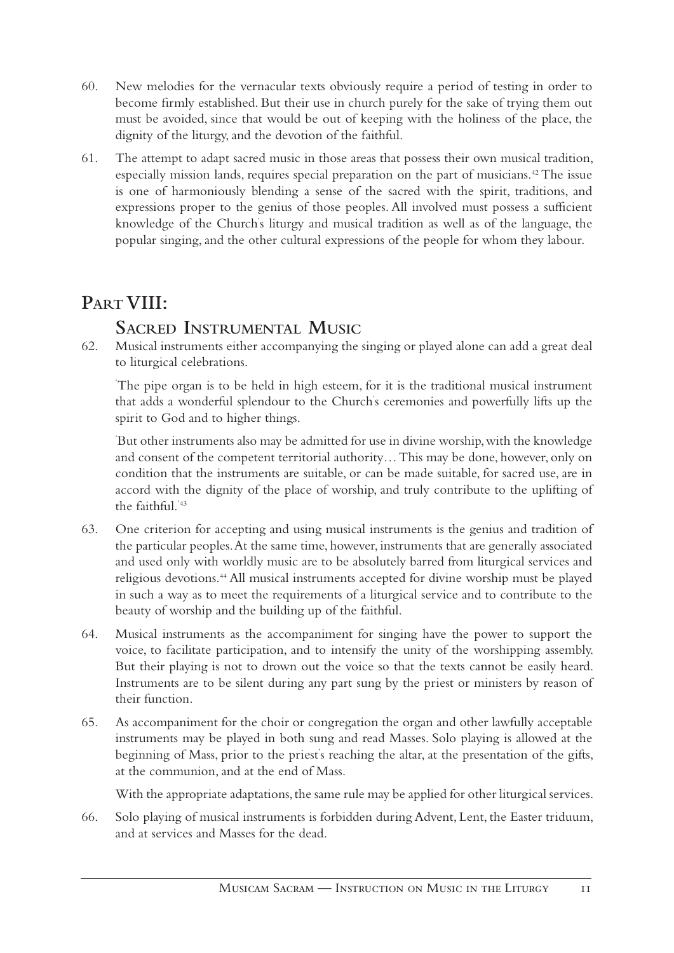- 60. New melodies for the vernacular texts obviously require a period of testing in order to become firmly established. But their use in church purely for the sake of trying them out must be avoided, since that would be out of keeping with the holiness of the place, the dignity of the liturgy, and the devotion of the faithful.
- 61. The attempt to adapt sacred music in those areas that possess their own musical tradition, especially mission lands, requires special preparation on the part of musicians.<sup>42</sup> The issue is one of harmoniously blending a sense of the sacred with the spirit, traditions, and expressions proper to the genius of those peoples. All involved must possess a sufficient knowledge of the Church' s liturgy and musical tradition as well as of the language, the popular singing, and the other cultural expressions of the people for whom they labour.

# **Part VIII:**

### **Sacred Instrumental Music**

62. Musical instruments either accompanying the singing or played alone can add a great deal to liturgical celebrations.

' The pipe organ is to be held in high esteem, for it is the traditional musical instrument that adds a wonderful splendour to the Church' s ceremonies and powerfully lifts up the spirit to God and to higher things.

' But other instruments also may be admitted for use in divine worship, with the knowledge and consent of the competent territorial authority… This may be done, however, only on condition that the instruments are suitable, or can be made suitable, for sacred use, are in accord with the dignity of the place of worship, and truly contribute to the uplifting of the faithful.'43

- 63. One criterion for accepting and using musical instruments is the genius and tradition of the particular peoples. At the same time, however, instruments that are generally associated and used only with worldly music are to be absolutely barred from liturgical services and religious devotions.44 All musical instruments accepted for divine worship must be played in such a way as to meet the requirements of a liturgical service and to contribute to the beauty of worship and the building up of the faithful.
- 64. Musical instruments as the accompaniment for singing have the power to support the voice, to facilitate participation, and to intensify the unity of the worshipping assembly. But their playing is not to drown out the voice so that the texts cannot be easily heard. Instruments are to be silent during any part sung by the priest or ministers by reason of their function.
- 65. As accompaniment for the choir or congregation the organ and other lawfully acceptable instruments may be played in both sung and read Masses. Solo playing is allowed at the beginning of Mass, prior to the priest' s reaching the altar, at the presentation of the gifts, at the communion, and at the end of Mass.

With the appropriate adaptations, the same rule may be applied for other liturgical services.

66. Solo playing of musical instruments is forbidden during Advent, Lent, the Easter triduum, and at services and Masses for the dead.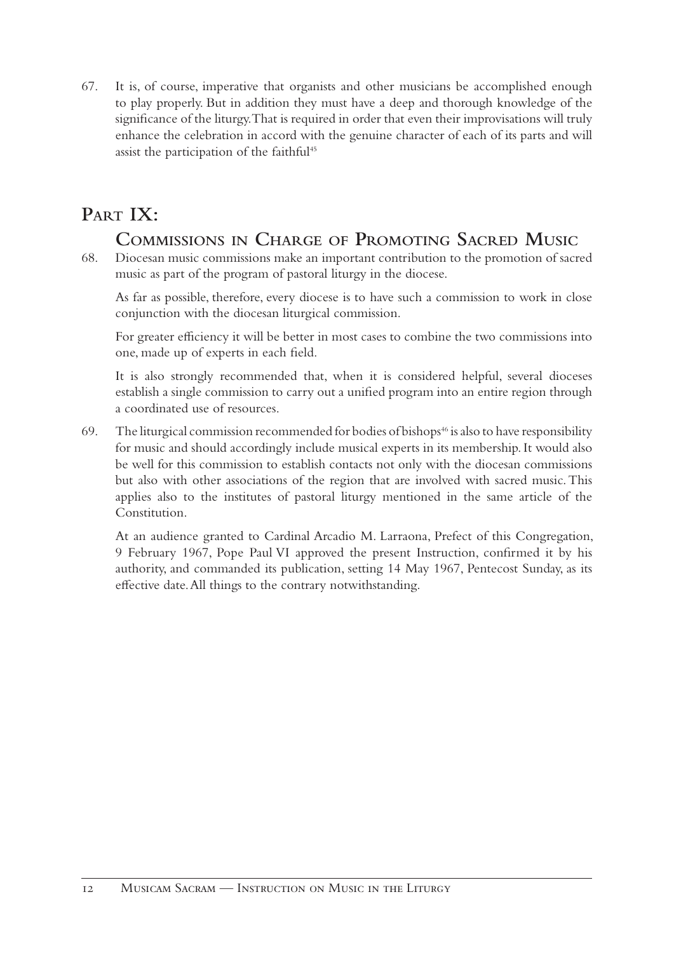67. It is, of course, imperative that organists and other musicians be accomplished enough to play properly. But in addition they must have a deep and thorough knowledge of the significance of the liturgy. That is required in order that even their improvisations will truly enhance the celebration in accord with the genuine character of each of its parts and will assist the participation of the faithful<sup>45</sup>

# PART IX:

#### **Commissions in Charge of Promoting Sacred Music**

68. Diocesan music commissions make an important contribution to the promotion of sacred music as part of the program of pastoral liturgy in the diocese.

As far as possible, therefore, every diocese is to have such a commission to work in close conjunction with the diocesan liturgical commission.

For greater efficiency it will be better in most cases to combine the two commissions into one, made up of experts in each field.

It is also strongly recommended that, when it is considered helpful, several dioceses establish a single commission to carry out a unified program into an entire region through a coordinated use of resources.

69. The liturgical commission recommended for bodies of bishops<sup>46</sup> is also to have responsibility for music and should accordingly include musical experts in its membership. It would also be well for this commission to establish contacts not only with the diocesan commissions but also with other associations of the region that are involved with sacred music. This applies also to the institutes of pastoral liturgy mentioned in the same article of the Constitution.

At an audience granted to Cardinal Arcadio M. Larraona, Prefect of this Congregation, 9 February 1967, Pope Paul VI approved the present Instruction, confirmed it by his authority, and commanded its publication, setting 14 May 1967, Pentecost Sunday, as its effective date. All things to the contrary notwithstanding.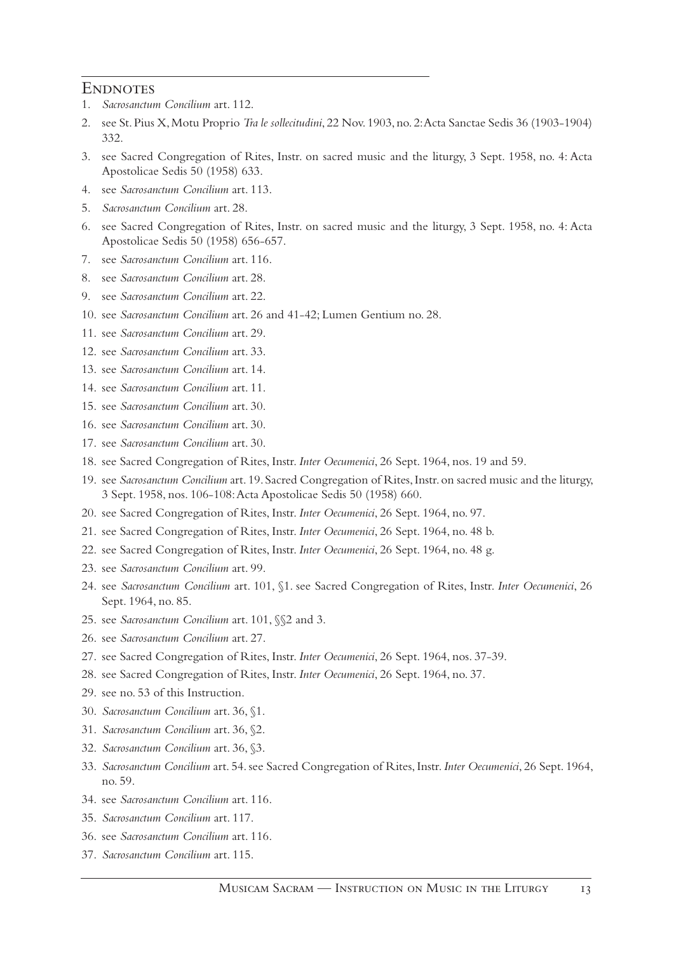#### **ENDNOTES**

- 1. *Sacrosanctum Concilium* art. 112.
- 2. see St. Pius X, Motu Proprio *Tra le sollecitudini*, 22 Nov. 1903, no. 2: Acta Sanctae Sedis 36 (1903-1904) 332.
- 3. see Sacred Congregation of Rites, Instr. on sacred music and the liturgy, 3 Sept. 1958, no. 4: Acta Apostolicae Sedis 50 (1958) 633.
- 4. see *Sacrosanctum Concilium* art. 113.
- 5. *Sacrosanctum Concilium* art. 28.
- 6. see Sacred Congregation of Rites, Instr. on sacred music and the liturgy, 3 Sept. 1958, no. 4: Acta Apostolicae Sedis 50 (1958) 656-657.
- 7. see *Sacrosanctum Concilium* art. 116.
- 8. see *Sacrosanctum Concilium* art. 28.
- 9. see *Sacrosanctum Concilium* art. 22.
- 10. see *Sacrosanctum Concilium* art. 26 and 41-42; Lumen Gentium no. 28.
- 11. see *Sacrosanctum Concilium* art. 29.
- 12. see *Sacrosanctum Concilium* art. 33.
- 13. see *Sacrosanctum Concilium* art. 14.
- 14. see *Sacrosanctum Concilium* art. 11.
- 15. see *Sacrosanctum Concilium* art. 30.
- 16. see *Sacrosanctum Concilium* art. 30.
- 17. see *Sacrosanctum Concilium* art. 30.
- 18. see Sacred Congregation of Rites, Instr. *Inter Oecumenici*, 26 Sept. 1964, nos. 19 and 59.
- 19. see *Sacrosanctum Concilium* art. 19. Sacred Congregation of Rites, Instr. on sacred music and the liturgy, 3 Sept. 1958, nos. 106-108: Acta Apostolicae Sedis 50 (1958) 660.
- 20. see Sacred Congregation of Rites, Instr. *Inter Oecumenici*, 26 Sept. 1964, no. 97.
- 21. see Sacred Congregation of Rites, Instr. *Inter Oecumenici*, 26 Sept. 1964, no. 48 b.
- 22. see Sacred Congregation of Rites, Instr. *Inter Oecumenici*, 26 Sept. 1964, no. 48 g.
- 23. see *Sacrosanctum Concilium* art. 99.
- 24. see *Sacrosanctum Concilium* art. 101, §1. see Sacred Congregation of Rites, Instr. *Inter Oecumenici*, 26 Sept. 1964, no. 85.
- 25. see *Sacrosanctum Concilium* art. 101, §§2 and 3.
- 26. see *Sacrosanctum Concilium* art. 27.
- 27. see Sacred Congregation of Rites, Instr. *Inter Oecumenici*, 26 Sept. 1964, nos. 37-39.
- 28. see Sacred Congregation of Rites, Instr. *Inter Oecumenici*, 26 Sept. 1964, no. 37.
- 29. see no. 53 of this Instruction.
- 30. *Sacrosanctum Concilium* art. 36, §1.
- 31. *Sacrosanctum Concilium* art. 36, §2.
- 32. *Sacrosanctum Concilium* art. 36, §3.
- 33. *Sacrosanctum Concilium* art. 54. see Sacred Congregation of Rites, Instr. *Inter Oecumenici*, 26 Sept. 1964, no. 59.
- 34. see *Sacrosanctum Concilium* art. 116.
- 35. *Sacrosanctum Concilium* art. 117.
- 36. see *Sacrosanctum Concilium* art. 116.
- 37. *Sacrosanctum Concilium* art. 115.